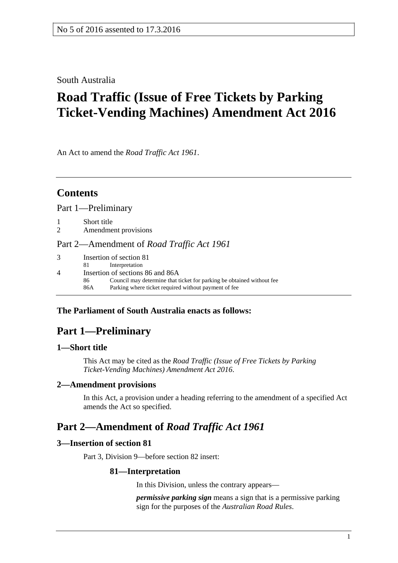South Australia

# **Road Traffic (Issue of Free Tickets by Parking Ticket-Vending Machines) Amendment Act 2016**

An Act to amend the *[Road Traffic Act](http://www.legislation.sa.gov.au/index.aspx?action=legref&type=act&legtitle=Road%20Traffic%20Act%201961) 1961*.

# **Contents**

Part [1—Preliminary](#page-0-0)

1 [Short title](#page-0-1)

2 [Amendment provisions](#page-0-2)

Part [2—Amendment of](#page-0-3) *Road Traffic Act 1961*

| $\mathcal{R}$ | Insertion of section 81                                                     |  |
|---------------|-----------------------------------------------------------------------------|--|
|               | Interpretation<br>-81 -                                                     |  |
|               | Insertion of sections 86 and 86A                                            |  |
|               | Council may determine that ticket for parking be obtained without fee<br>86 |  |
|               | Parking where ticket required without payment of fee<br>86A                 |  |

### <span id="page-0-0"></span>**The Parliament of South Australia enacts as follows:**

# **Part 1—Preliminary**

### <span id="page-0-1"></span>**1—Short title**

This Act may be cited as the *Road Traffic (Issue of Free Tickets by Parking Ticket-Vending Machines) Amendment Act 2016*.

### <span id="page-0-2"></span>**2—Amendment provisions**

In this Act, a provision under a heading referring to the amendment of a specified Act amends the Act so specified.

# <span id="page-0-3"></span>**Part 2—Amendment of** *Road Traffic Act 1961*

### <span id="page-0-4"></span>**3—Insertion of section 81**

Part 3, Division 9—before section 82 insert:

### **81—Interpretation**

In this Division, unless the contrary appears—

*permissive parking sign* means a sign that is a permissive parking sign for the purposes of the *[Australian Road Rules](http://www.legislation.sa.gov.au/index.aspx?action=legref&type=subordleg&legtitle=Australian%20Road%20Rules)*.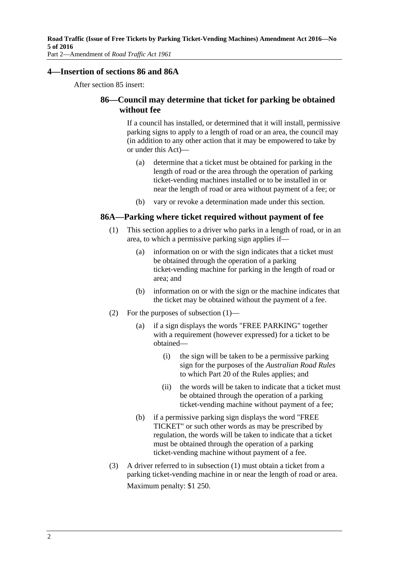### <span id="page-1-0"></span>**4—Insertion of sections 86 and 86A**

After section 85 insert:

### **86—Council may determine that ticket for parking be obtained without fee**

If a council has installed, or determined that it will install, permissive parking signs to apply to a length of road or an area, the council may (in addition to any other action that it may be empowered to take by or under this Act)—

- (a) determine that a ticket must be obtained for parking in the length of road or the area through the operation of parking ticket-vending machines installed or to be installed in or near the length of road or area without payment of a fee; or
- (b) vary or revoke a determination made under this section.

### <span id="page-1-1"></span>**86A—Parking where ticket required without payment of fee**

- (1) This section applies to a driver who parks in a length of road, or in an area, to which a permissive parking sign applies if—
	- (a) information on or with the sign indicates that a ticket must be obtained through the operation of a parking ticket-vending machine for parking in the length of road or area; and
	- (b) information on or with the sign or the machine indicates that the ticket may be obtained without the payment of a fee.
- (2) For the purposes of [subsection](#page-1-1) (1)—
	- (a) if a sign displays the words "FREE PARKING" together with a requirement (however expressed) for a ticket to be obtained—
		- (i) the sign will be taken to be a permissive parking sign for the purposes of the *[Australian Road Rules](http://www.legislation.sa.gov.au/index.aspx?action=legref&type=subordleg&legtitle=Australian%20Road%20Rules)* to which Part 20 of the Rules applies; and
		- (ii) the words will be taken to indicate that a ticket must be obtained through the operation of a parking ticket-vending machine without payment of a fee;
	- (b) if a permissive parking sign displays the word "FREE TICKET" or such other words as may be prescribed by regulation, the words will be taken to indicate that a ticket must be obtained through the operation of a parking ticket-vending machine without payment of a fee.
- (3) A driver referred to in [subsection](#page-1-1) (1) must obtain a ticket from a parking ticket-vending machine in or near the length of road or area. Maximum penalty: \$1 250.